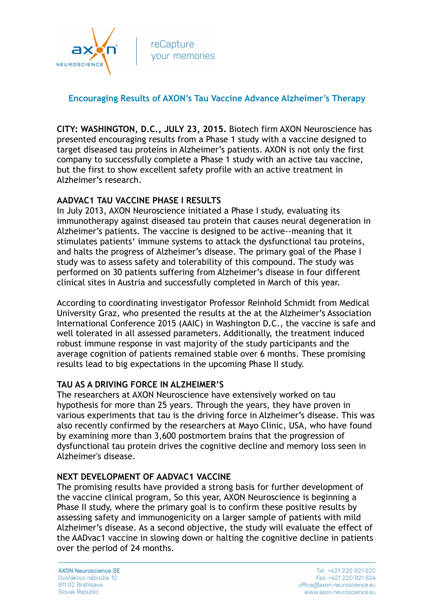

# **Encouraging Results of AXON's Tau Vaccine Advance Alzheimer's Therapy**

**CITY: WASHINGTON, D.C., JULY 23, 2015.** Biotech firm AXON Neuroscience has presented encouraging results from a Phase 1 study with a vaccine designed to target diseased tau proteins in Alzheimer's patients. AXON is not only the first company to successfully complete a Phase 1 study with an active tau vaccine, but the first to show excellent safety profile with an active treatment in Alzheimer's research.

## **AADVAC1 TAU VACCINE PHASE I RESULTS**

In July 2013, AXON Neuroscience initiated a Phase I study, evaluating its immunotherapy against diseased tau protein that causes neural degeneration in Alzheimer's patients. The vaccine is designed to be active--meaning that it stimulates patients' immune systems to attack the dysfunctional tau proteins, and halts the progress of Alzheimer's disease. The primary goal of the Phase I study was to assess safety and tolerability of this compound. The study was performed on 30 patients suffering from Alzheimer's disease in four different clinical sites in Austria and successfully completed in March of this year.

According to coordinating investigator Professor Reinhold Schmidt from Medical University Graz, who presented the results at the at the Alzheimer's Association International Conference 2015 (AAIC) in Washington D.C., the vaccine is safe and well tolerated in all assessed parameters. Additionally, the treatment induced robust immune response in vast majority of the study participants and the average cognition of patients remained stable over 6 months. These promising results lead to big expectations in the upcoming Phase II study.

#### **TAU AS A DRIVING FORCE IN ALZHEIMER'S**

The researchers at AXON Neuroscience have extensively worked on tau hypothesis for more than 25 years. Through the years, they have proven in various experiments that tau is the driving force in Alzheimer's disease. This was also recently confirmed by the researchers at Mayo Clinic, USA, who have found by examining more than 3,600 postmortem brains that the progression of dysfunctional tau protein drives the cognitive decline and memory loss seen in Alzheimer's disease.

#### **NEXT DEVELOPMENT OF AADVAC1 VACCINE**

The promising results have provided a strong basis for further development of the vaccine clinical program, So this year, AXON Neuroscience is beginning a Phase II study, where the primary goal is to confirm these positive results by assessing safety and immunogenicity on a larger sample of patients with mild Alzheimer's disease. As a second objective, the study will evaluate the effect of the AADvac1 vaccine in slowing down or halting the cognitive decline in patients over the period of 24 months.